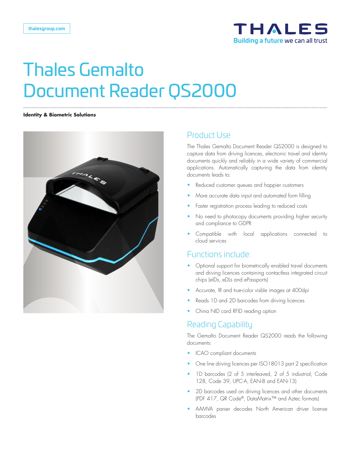

#### **Identity & Biometric Solutions**



### Product Use

The Thales Gemalto Document Reader QS2000 is designed to capture data from driving licences, electronic travel and identity documents quickly and reliably in a wide variety of commercial applications. Automatically capturing the data from identity documents leads to:

- Reduced customer queues and happier customers
- More accurate data input and automated form filling
- Faster registration process leading to reduced costs
- No need to photocopy documents providing higher security and compliance to GDPR
- Compatible with local applications connected to cloud services

#### Functions include:

- Optional support for biometrically enabled travel documents and driving licences containing contactless integrated circuit chips (eIDs, eDLs and ePassports)
- Accurate, IR and true-color visble images at 400dpi
- Reads 1D and 2D barcodes from driving licences
- China NID card RFID reading option

### Reading Capability

The Gemalto Document Reader QS2000 reads the following documents:

- ICAO compliant documents
- One line driving licences per ISO18013 part 2 specification
- 1D barcodes (2 of 5 interleaved, 2 of 5 industrial, Code 128, Code 39, UPC-A, EAN-8 and EAN-13)
- 2D barcodes used on driving licences and other documents (PDF 417, QR Code®, DataMatrix™ and Aztec formats)
- AAMVA parser decodes North American driver license barcodes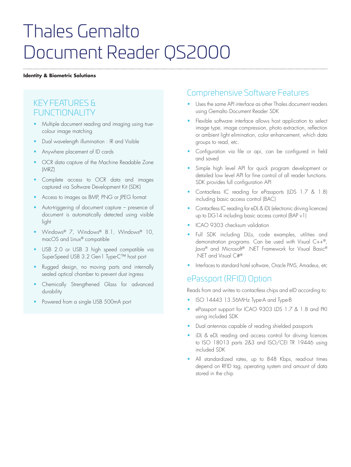#### **Identity & Biometric Solutions**

## KEY FEATURES & FUNCTIONAL ITY

- Multiple document reading and imaging using truecolour image matching
- Dual wavelength illumination : IR and Visible
- Anywhere placement of ID cards
- OCR data capture of the Machine Readable Zone (MRZ)
- Complete access to OCR data and images captured via Software Development Kit (SDK)
- Access to images as BMP, PNG or JPEG format
- Auto-triggering of document capture presence of document is automatically detected using visible light
- Windows® 7, Windows® 8.1, Windows® 10, macOS and Linux® compatible
- USB 2.0 or USB 3 high speed compatible via SuperSpeed USB 3.2 Gen1 Type-C™ host port
- Rugged design, no moving parts and internally sealed optical chamber to prevent dust ingress
- Chemically Strengthened Glass for advanced durability
- Powered from a single USB 500mA port

## Comprehensive Software Features

- Uses the same API interface as other Thales document readers using Gemalto Document Reader SDK
- Flexible software interface allows host application to select image type, image compression, photo extraction, reflection or ambient light elimination, color enhancement, which data groups to read, etc.
- Configuration via file or api, can be configured in field and saved
- Simple high level API for quick program development or detailed low level API for fine control of all reader functions. SDK provides full configuration API
- Contactless IC reading for ePassports (LDS 1.7 & 1.8) including basic access control (BAC)
- Contactless IC reading for eDL & iDL (electronic driving licences) up to DG14 including basic access control (BAP v1)
- ICAO 9303 checksum validation
- Full SDK including DLLs, code examples, utilities and demonstration programs. Can be used with Visual C++®, Java® and Microsoft® .NET Framework for Visual Basic® .NET and Visual C#®
- Interfaces to standard hotel software, Oracle PMS, Amadeus, etc

## ePassport (RFID) Option

Reads from and writes to contactless chips and eID according to:

- ISO 14443 13.56MHz Type-A and Type-B
- ePassport support for ICAO 9303 LDS 1.7 & 1.8 and PKI using included SDK
- Dual antennas capable of reading shielded passports
- iDL & eDL reading and access control for driving licences to ISO 18013 parts 2&3 and ISO/CEI TR 19446 using included SDK
- All standardized rates, up to 848 Kbps, read-out times depend on RFID tag, operating system and amount of data stored in the chip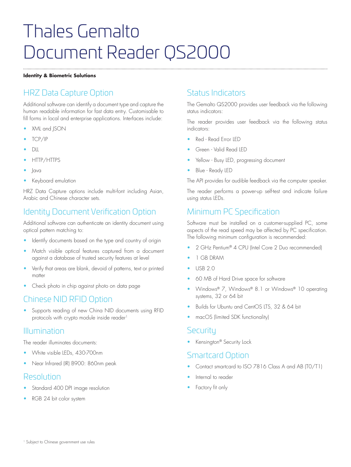#### **Identity & Biometric Solutions**

## HRZ Data Capture Option

Additional software can identify a document type and capture the human readable information for fast data entry. Customisable to fill forms in local and enterprise applications. Interfaces include:

- XML and JSON
- TCP/IP
- DLL
- HTTP/HTTPS
- Java
- Keyboard emulation

HRZ Data Capture options include multi-font including Asian, Arabic and Chinese character sets.

## Identity Document Verification Option

Additional software can authenticate an identity document using optical pattern matching to:

- Identify documents based on the type and country of origin
- Match visible optical features captured from a document against a database of trusted security features at level
- Verify that areas are blank, devoid of patterns, text or printed matter
- Check photo in chip against photo on data page

## Chinese NID RFID Option

Supports reading of new China NID documents using RFID protocols with crypto module inside reader<sup>1</sup>

### Illumination

The reader illuminates documents:

- White visible LEDs, 430-700nm
- Near Infrared (IR) B900: 860nm peak

### Resolution

- Standard 400 DPI image resolution
- RGB 24 bit color system

## Status Indicators

The Gemalto QS2000 provides user feedback via the following status indicators:

The reader provides user feedback via the following status indicators:

- Red Read Error LED
- Green Valid Read LED
- Yellow Busy LED, progressing document
- Blue Ready LED

The API provides for audible feedback via the computer speaker.

The reader performs a power-up self-test and indicate failure using status LEDs.

## Minimum PC Specification

Software must be installed on a customer-supplied PC, some aspects of the read speed may be affected by PC specification. The following minimum configuration is recommended:

- 2 GHz Pentium® 4 CPU (Intel Core 2 Duo recommended)
- 1 GB DRAM
- USB 2.0
- 60 MB of Hard Drive space for software
- Windows® 7, Windows® 8.1 or Windows® 10 operating systems, 32 or 64 bit
- Builds for Ubuntu and CentOS LTS, 32 & 64 bit
- macOS (limited SDK functionality)

#### **Security**

• Kensington® Security Lock

### Smartcard Option

- Contact smartcard to ISO 7816 Class A and AB (T0/T1)
- Internal to reader
- Factory fit only